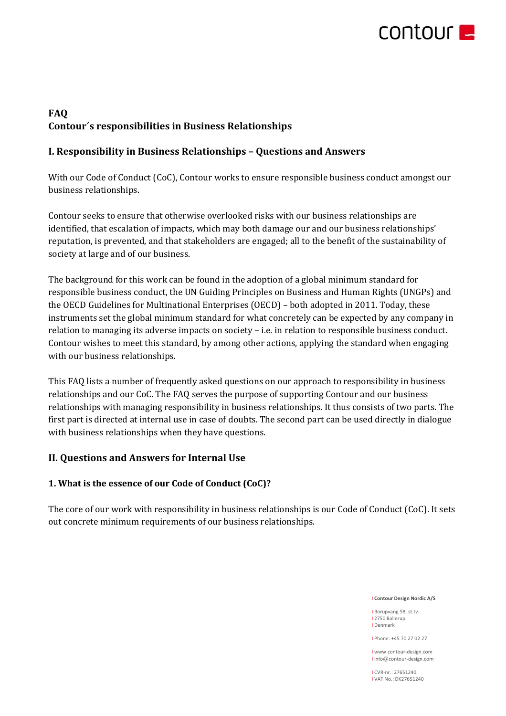

# **FAQ Contour´s responsibilities in Business Relationships**

# **I. Responsibility in Business Relationships – Questions and Answers**

With our Code of Conduct (CoC), Contour works to ensure responsible business conduct amongst our business relationships.

Contour seeks to ensure that otherwise overlooked risks with our business relationships are identified, that escalation of impacts, which may both damage our and our business relationships' reputation, is prevented, and that stakeholders are engaged; all to the benefit of the sustainability of society at large and of our business.

The background for this work can be found in the adoption of a global minimum standard for responsible business conduct, the UN Guiding Principles on Business and Human Rights (UNGPs) and the OECD Guidelines for Multinational Enterprises (OECD) – both adopted in 2011. Today, these instruments set the global minimum standard for what concretely can be expected by any company in relation to managing its adverse impacts on society – i.e. in relation to responsible business conduct. Contour wishes to meet this standard, by among other actions, applying the standard when engaging with our business relationships.

This FAQ lists a number of frequently asked questions on our approach to responsibility in business relationships and our CoC. The FAQ serves the purpose of supporting Contour and our business relationships with managing responsibility in business relationships. It thus consists of two parts. The first part is directed at internal use in case of doubts. The second part can be used directly in dialogue with business relationships when they have questions.

# **II. Questions and Answers for Internal Use**

## **1. What is the essence of our Code of Conduct (CoC)?**

The core of our work with responsibility in business relationships is our Code of Conduct (CoC). It sets out concrete minimum requirements of our business relationships.

#### I **Contour Design Nordic A/S**

I Borupvang 5B, st.tv. I 2750 Ballerup I Denmark

I Phone: +45 70 27 02 27

I www.contour-design.com I info@contour-design.com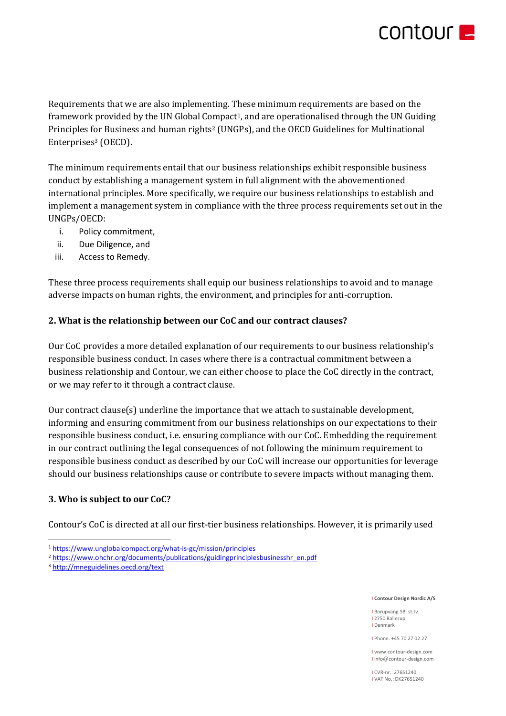# **CONTOURE**

Requirements that we are also implementing. These minimum requirements are based on the framework provided by the UN Global Compact<sup>1</sup>, and are operationalised through the UN Guiding Principles for Business and human rights<sup>2</sup> (UNGPs), and the OECD Guidelines for Multinational Enterprises<sup>3</sup> (OECD).

The minimum requirements entail that our business relationships exhibit responsible business conduct by establishing a management system in full alignment with the abovementioned international principles. More specifically, we require our business relationships to establish and implement a management system in compliance with the three process requirements set out in the UNGPs/OECD:

- i. Policy commitment,
- ii. Due Diligence, and
- iii. Access to Remedy.

These three process requirements shall equip our business relationships to avoid and to manage adverse impacts on human rights, the environment, and principles for anti-corruption.

## **2. What is the relationship between our CoC and our contract clauses?**

Our CoC provides a more detailed explanation of our requirements to our business relationship's responsible business conduct. In cases where there is a contractual commitment between a business relationship and Contour, we can either choose to place the CoC directly in the contract, or we may refer to it through a contract clause.

Our contract clause(s) underline the importance that we attach to sustainable development, informing and ensuring commitment from our business relationships on our expectations to their responsible business conduct, i.e. ensuring compliance with our CoC. Embedding the requirement in our contract outlining the legal consequences of not following the minimum requirement to responsible business conduct as described by our CoC will increase our opportunities for leverage should our business relationships cause or contribute to severe impacts without managing them.

## **3. Who is subject to our CoC?**

Contour's CoC is directed at all our first-tier business relationships. However, it is primarily used

<sup>3</sup> <http://mneguidelines.oecd.org/text>

#### I **Contour Design Nordic A/S**

I Borupvang 5B, st.tv. I 2750 Ballerup I Denmark

I Phone: +45 70 27 02 27

I www.contour-design.com I info@contour-design.com

<sup>1</sup> <https://www.unglobalcompact.org/what-is-gc/mission/principles>

<sup>&</sup>lt;sup>2</sup> [https://www.ohchr.org/documents/publications/guidingprinciplesbusinesshr\\_en.pdf](https://www.ohchr.org/documents/publications/guidingprinciplesbusinesshr_en.pdf)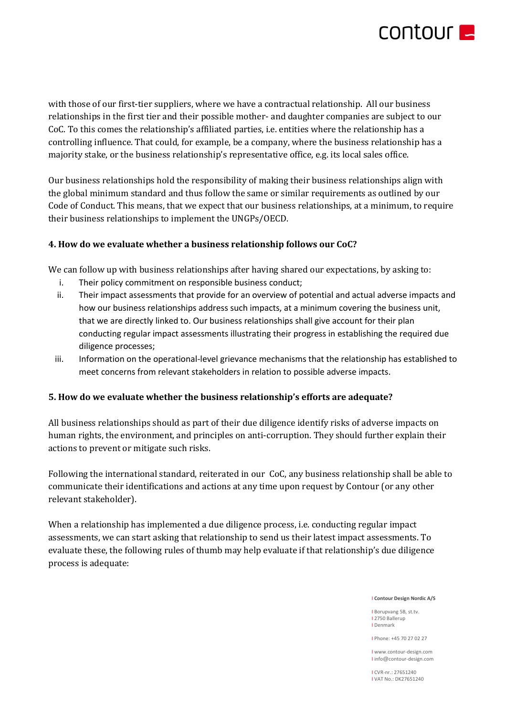

with those of our first-tier suppliers, where we have a contractual relationship. All our business relationships in the first tier and their possible mother- and daughter companies are subject to our CoC. To this comes the relationship's affiliated parties, i.e. entities where the relationship has a controlling influence. That could, for example, be a company, where the business relationship has a majority stake, or the business relationship's representative office, e.g. its local sales office.

Our business relationships hold the responsibility of making their business relationships align with the global minimum standard and thus follow the same or similar requirements as outlined by our Code of Conduct. This means, that we expect that our business relationships, at a minimum, to require their business relationships to implement the UNGPs/OECD.

### **4. How do we evaluate whether a business relationship follows our CoC?**

We can follow up with business relationships after having shared our expectations, by asking to:

- i. Their policy commitment on responsible business conduct;
- ii. Their impact assessments that provide for an overview of potential and actual adverse impacts and how our business relationships address such impacts, at a minimum covering the business unit, that we are directly linked to. Our business relationships shall give account for their plan conducting regular impact assessments illustrating their progress in establishing the required due diligence processes;
- iii. Information on the operational-level grievance mechanisms that the relationship has established to meet concerns from relevant stakeholders in relation to possible adverse impacts.

#### **5. How do we evaluate whether the business relationship's efforts are adequate?**

All business relationships should as part of their due diligence identify risks of adverse impacts on human rights, the environment, and principles on anti-corruption. They should further explain their actions to prevent or mitigate such risks.

Following the international standard, reiterated in our CoC, any business relationship shall be able to communicate their identifications and actions at any time upon request by Contour (or any other relevant stakeholder).

When a relationship has implemented a due diligence process, i.e. conducting regular impact assessments, we can start asking that relationship to send us their latest impact assessments. To evaluate these, the following rules of thumb may help evaluate if that relationship's due diligence process is adequate:

I **Contour Design Nordic A/S**

I Borupvang 5B, st.tv. I 2750 Ballerup I Denmark

I Phone: +45 70 27 02 27

I www.contour-design.com I info@contour-design.com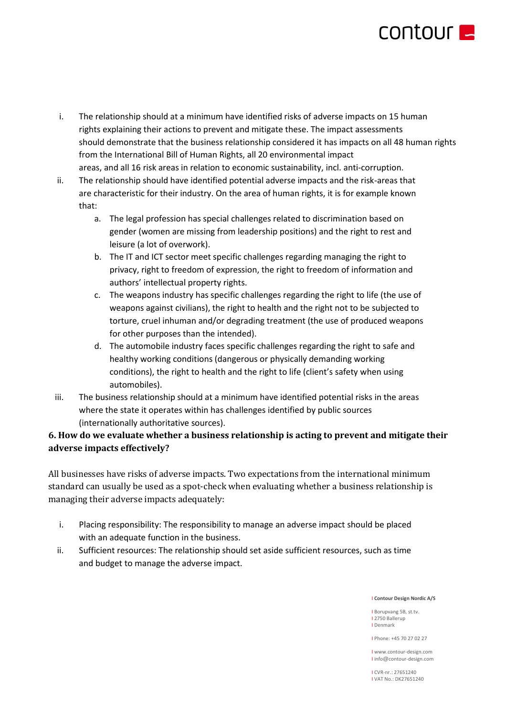

- i. The relationship should at a minimum have identified risks of adverse impacts on 15 human rights explaining their actions to prevent and mitigate these. The impact assessments should demonstrate that the business relationship considered it has impacts on all 48 human rights from the International Bill of Human Rights, all 20 environmental impact areas, and all 16 risk areas in relation to economic sustainability, incl. anti-corruption.
- ii. The relationship should have identified potential adverse impacts and the risk-areas that are characteristic for their industry. On the area of human rights, it is for example known that:
	- a. The legal profession has special challenges related to discrimination based on gender (women are missing from leadership positions) and the right to rest and leisure (a lot of overwork).
	- b. The IT and ICT sector meet specific challenges regarding managing the right to privacy, right to freedom of expression, the right to freedom of information and authors' intellectual property rights.
	- c. The weapons industry has specific challenges regarding the right to life (the use of weapons against civilians), the right to health and the right not to be subjected to torture, cruel inhuman and/or degrading treatment (the use of produced weapons for other purposes than the intended).
	- d. The automobile industry faces specific challenges regarding the right to safe and healthy working conditions (dangerous or physically demanding working conditions), the right to health and the right to life (client's safety when using automobiles).
- iii. The business relationship should at a minimum have identified potential risks in the areas where the state it operates within has challenges identified by public sources (internationally authoritative sources).

# **6. How do we evaluate whether a business relationship is acting to prevent and mitigate their adverse impacts effectively?**

All businesses have risks of adverse impacts. Two expectations from the international minimum standard can usually be used as a spot-check when evaluating whether a business relationship is managing their adverse impacts adequately:

- i. Placing responsibility: The responsibility to manage an adverse impact should be placed with an adequate function in the business.
- ii. Sufficient resources: The relationship should set aside sufficient resources, such as time and budget to manage the adverse impact.

#### I **Contour Design Nordic A/S**

I Borupvang 5B, st.tv. I 2750 Ballerup I Denmark

I Phone: +45 70 27 02 27

I www.contour-design.com I info@contour-design.com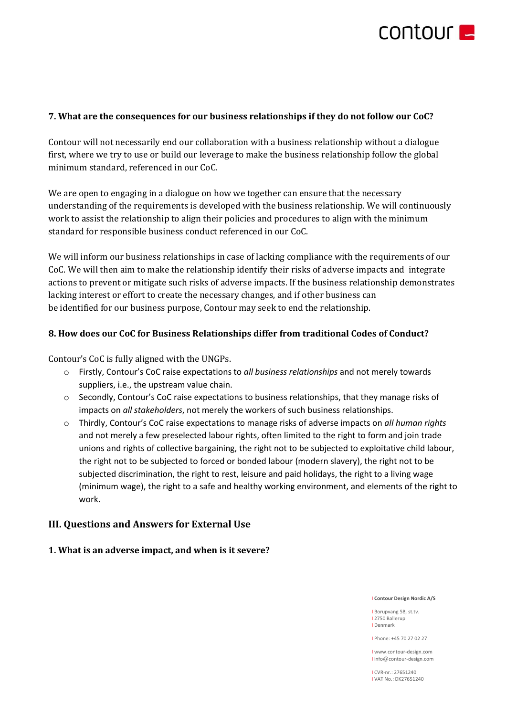

### **7. What are the consequences for our business relationships if they do not follow our CoC?**

Contour will not necessarily end our collaboration with a business relationship without a dialogue first, where we try to use or build our leverage to make the business relationship follow the global minimum standard, referenced in our CoC.

We are open to engaging in a dialogue on how we together can ensure that the necessary understanding of the requirements is developed with the business relationship. We will continuously work to assist the relationship to align their policies and procedures to align with the minimum standard for responsible business conduct referenced in our CoC.

We will inform our business relationships in case of lacking compliance with the requirements of our CoC. We will then aim to make the relationship identify their risks of adverse impacts and integrate actions to prevent or mitigate such risks of adverse impacts. If the business relationship demonstrates lacking interest or effort to create the necessary changes, and if other business can be identified for our business purpose, Contour may seek to end the relationship.

#### **8. How does our CoC for Business Relationships differ from traditional Codes of Conduct?**

Contour's CoC is fully aligned with the UNGPs.

- o Firstly, Contour's CoC raise expectations to *all business relationships* and not merely towards suppliers, i.e., the upstream value chain.
- o Secondly, Contour's CoC raise expectations to business relationships, that they manage risks of impacts on *all stakeholders*, not merely the workers of such business relationships.
- o Thirdly, Contour's CoC raise expectations to manage risks of adverse impacts on *all human rights* and not merely a few preselected labour rights, often limited to the right to form and join trade unions and rights of collective bargaining, the right not to be subjected to exploitative child labour, the right not to be subjected to forced or bonded labour (modern slavery), the right not to be subjected discrimination, the right to rest, leisure and paid holidays, the right to a living wage (minimum wage), the right to a safe and healthy working environment, and elements of the right to work.

## **III. Questions and Answers for External Use**

#### **1. What is an adverse impact, and when is it severe?**

#### I **Contour Design Nordic A/S**

I Borupvang 5B, st.tv. I 2750 Ballerup I Denmark

I Phone: +45 70 27 02 27

I www.contour-design.com I info@contour-design.com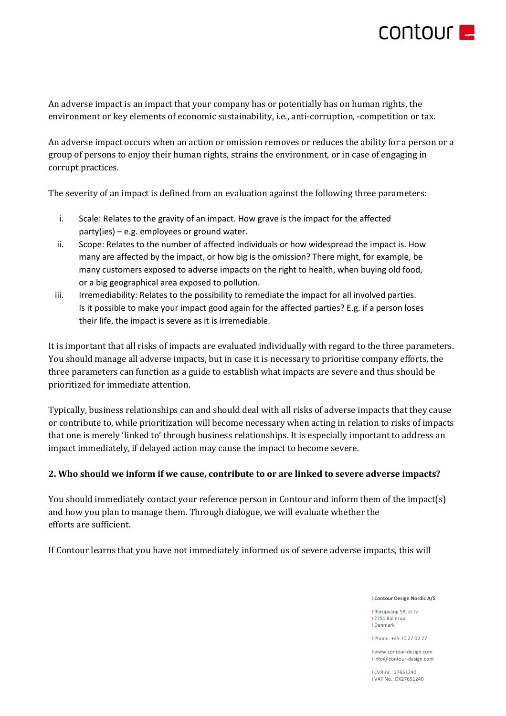

An adverse impact is an impact that your company has or potentially has on human rights, the environment or key elements of economic sustainability, i.e., anti-corruption, -competition or tax.

An adverse impact occurs when an action or omission removes or reduces the ability for a person or a group of persons to enjoy their human rights, strains the environment, or in case of engaging in corrupt practices.

The severity of an impact is defined from an evaluation against the following three parameters:

- i. Scale: Relates to the gravity of an impact. How grave is the impact for the affected party(ies) – e.g. employees or ground water.
- ii. Scope: Relates to the number of affected individuals or how widespread the impact is. How many are affected by the impact, or how big is the omission? There might, for example, be many customers exposed to adverse impacts on the right to health, when buying old food, or a big geographical area exposed to pollution.
- iii. Irremediability: Relates to the possibility to remediate the impact for all involved parties. Is it possible to make your impact good again for the affected parties? E.g. if a person loses their life, the impact is severe as it is irremediable.

It is important that all risks of impacts are evaluated individually with regard to the three parameters. You should manage all adverse impacts, but in case it is necessary to prioritise company efforts, the three parameters can function as a guide to establish what impacts are severe and thus should be prioritized for immediate attention.

Typically, business relationships can and should deal with all risks of adverse impacts that they cause or contribute to, while prioritization will become necessary when acting in relation to risks of impacts that one is merely 'linked to' through business relationships. It is especially important to address an impact immediately, if delayed action may cause the impact to become severe.

## **2. Who should we inform if we cause, contribute to or are linked to severe adverse impacts?**

You should immediately contact your reference person in Contour and inform them of the impact(s) and how you plan to manage them. Through dialogue, we will evaluate whether the efforts are sufficient.

If Contour learns that you have not immediately informed us of severe adverse impacts, this will

I **Contour Design Nordic A/S**

I Borupvang 5B, st.tv. I 2750 Ballerup I Denmark

I Phone: +45 70 27 02 27

I www.contour-design.com I info@contour-design.com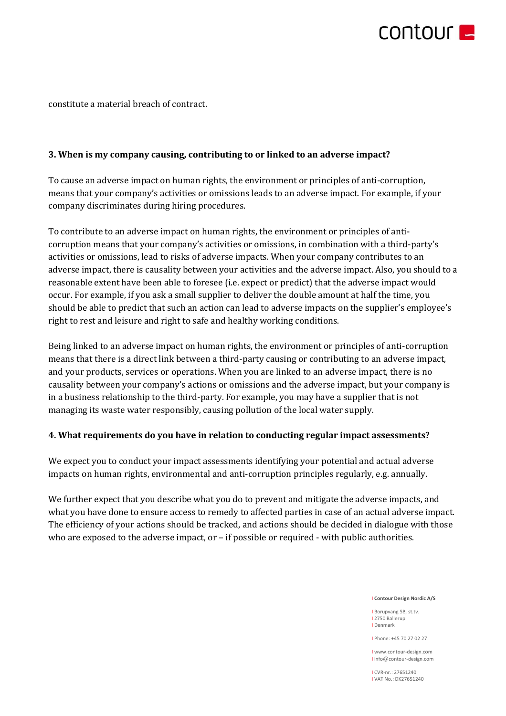

constitute a material breach of contract.

### **3. When is my company causing, contributing to or linked to an adverse impact?**

To cause an adverse impact on human rights, the environment or principles of anti-corruption, means that your company's activities or omissions leads to an adverse impact. For example, if your company discriminates during hiring procedures.

To contribute to an adverse impact on human rights, the environment or principles of anticorruption means that your company's activities or omissions, in combination with a third-party's activities or omissions, lead to risks of adverse impacts. When your company contributes to an adverse impact, there is causality between your activities and the adverse impact. Also, you should to a reasonable extent have been able to foresee (i.e. expect or predict) that the adverse impact would occur. For example, if you ask a small supplier to deliver the double amount at half the time, you should be able to predict that such an action can lead to adverse impacts on the supplier's employee's right to rest and leisure and right to safe and healthy working conditions.

Being linked to an adverse impact on human rights, the environment or principles of anti-corruption means that there is a direct link between a third-party causing or contributing to an adverse impact, and your products, services or operations. When you are linked to an adverse impact, there is no causality between your company's actions or omissions and the adverse impact, but your company is in a business relationship to the third-party. For example, you may have a supplier that is not managing its waste water responsibly, causing pollution of the local water supply.

#### **4. What requirements do you have in relation to conducting regular impact assessments?**

We expect you to conduct your impact assessments identifying your potential and actual adverse impacts on human rights, environmental and anti-corruption principles regularly, e.g. annually.

We further expect that you describe what you do to prevent and mitigate the adverse impacts, and what you have done to ensure access to remedy to affected parties in case of an actual adverse impact. The efficiency of your actions should be tracked, and actions should be decided in dialogue with those who are exposed to the adverse impact, or – if possible or required - with public authorities.

#### I **Contour Design Nordic A/S**

I Borupvang 5B, st.tv. I 2750 Ballerup I Denmark

I Phone: +45 70 27 02 27

I www.contour-design.com I info@contour-design.com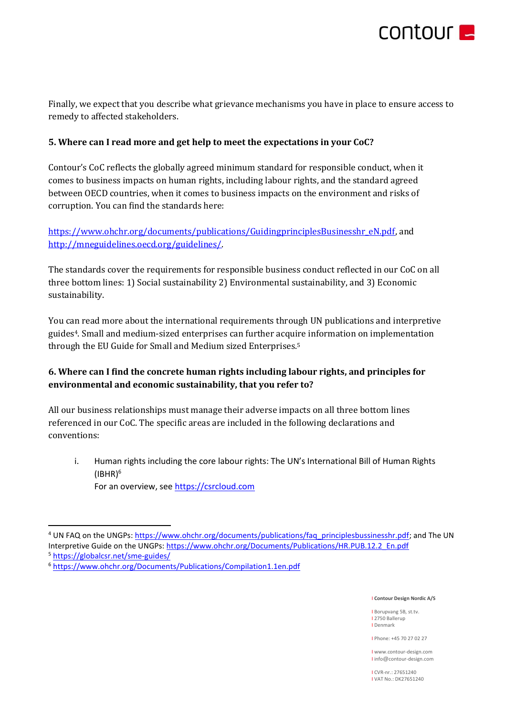

Finally, we expect that you describe what grievance mechanisms you have in place to ensure access to remedy to affected stakeholders.

## **5. Where can I read more and get help to meet the expectations in your CoC?**

Contour's CoC reflects the globally agreed minimum standard for responsible conduct, when it comes to business impacts on human rights, including labour rights, and the standard agreed between OECD countries, when it comes to business impacts on the environment and risks of corruption. You can find the standards here:

[https://www.ohchr.org/documents/publications/GuidingprinciplesBusinesshr\\_eN.pdf,](https://www.ohchr.org/documents/publications/GuidingprinciplesBusinesshr_eN.pdf) and [http://mneguidelines.oecd.org/guidelines/.](http://mneguidelines.oecd.org/guidelines/)

The standards cover the requirements for responsible business conduct reflected in our CoC on all three bottom lines: 1) Social sustainability 2) Environmental sustainability, and 3) Economic sustainability.

You can read more about the international requirements through UN publications and interpretive guides4. Small and medium-sized enterprises can further acquire information on implementation through the EU Guide for Small and Medium sized Enterprises.<sup>5</sup>

# **6. Where can I find the concrete human rights including labour rights, and principles for environmental and economic sustainability, that you refer to?**

All our business relationships must manage their adverse impacts on all three bottom lines referenced in our CoC. The specific areas are included in the following declarations and conventions:

i. Human rights including the core labour rights: The UN's International Bill of Human Rights  $(IBHR)^6$ For an overview, se[e https://csrcloud.com](https://csrcloud.com/) 

I **Contour Design Nordic A/S**

I Borupvang 5B, st.tv. I 2750 Ballerup I Denmark

I Phone: +45 70 27 02 27

I www.contour-design.com I info@contour-design.com

<sup>&</sup>lt;sup>4</sup> UN FAQ on the UNGPs: [https://www.ohchr.org/documents/publications/faq\\_principlesbussinesshr.pdf;](https://www.ohchr.org/documents/publications/faq_principlesbussinesshr.pdf) and The UN Interpretive Guide on the UNGPs: [https://www.ohchr.org/Documents/Publications/HR.PUB.12.2\\_En.pdf](https://www.ohchr.org/Documents/Publications/HR.PUB.12.2_En.pdf)

<sup>5</sup> <https://globalcsr.net/sme-guides/>

<sup>6</sup> <https://www.ohchr.org/Documents/Publications/Compilation1.1en.pdf>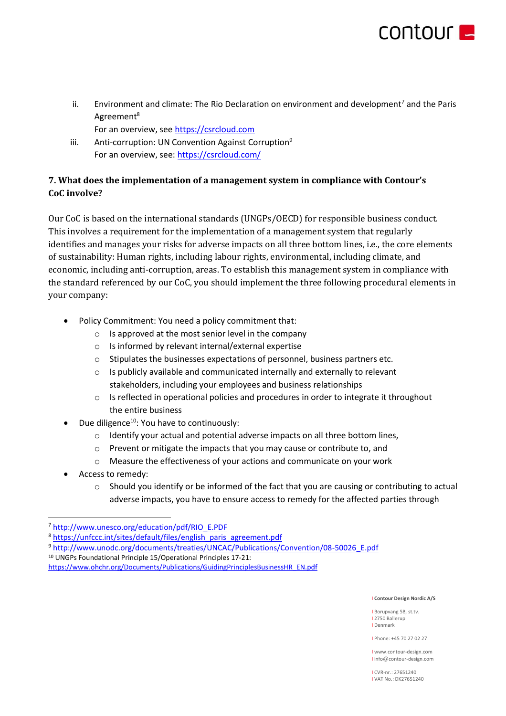

ii. Environment and climate: The Rio Declaration on environment and development<sup>7</sup> and the Paris Agreement<sup>8</sup>

For an overview, se[e https://csrcloud.com](https://csrcloud.com/)

iii. Anti-corruption: UN Convention Against Corruption<sup>9</sup> For an overview, see:<https://csrcloud.com/>

# **7. What does the implementation of a management system in compliance with Contour's CoC involve?**

Our CoC is based on the international standards (UNGPs/OECD) for responsible business conduct. This involves a requirement for the implementation of a management system that regularly identifies and manages your risks for adverse impacts on all three bottom lines, i.e., the core elements of sustainability: Human rights, including labour rights, environmental, including climate, and economic, including anti-corruption, areas. To establish this management system in compliance with the standard referenced by our CoC, you should implement the three following procedural elements in your company:

- Policy Commitment: You need a policy commitment that:
	- o Is approved at the most senior level in the company
	- o Is informed by relevant internal/external expertise
	- $\circ$  Stipulates the businesses expectations of personnel, business partners etc.
	- $\circ$  Is publicly available and communicated internally and externally to relevant stakeholders, including your employees and business relationships
	- $\circ$  Is reflected in operational policies and procedures in order to integrate it throughout the entire business
- Due diligence<sup>10</sup>: You have to continuously:
	- o Identify your actual and potential adverse impacts on all three bottom lines,
	- o Prevent or mitigate the impacts that you may cause or contribute to, and
	- o Measure the effectiveness of your actions and communicate on your work
- Access to remedy:
	- $\circ$  Should you identify or be informed of the fact that you are causing or contributing to actual adverse impacts, you have to ensure access to remedy for the affected parties through

#### I **Contour Design Nordic A/S**

I Borupvang 5B, st.tv. I 2750 Ballerup I Denmark

I Phone: +45 70 27 02 27

I www.contour-design.com I info@contour-design.com

<sup>7</sup> [http://www.unesco.org/education/pdf/RIO\\_E.PDF](http://www.unesco.org/education/pdf/RIO_E.PDF)

<sup>8</sup> [https://unfccc.int/sites/default/files/english\\_paris\\_agreement.pdf](https://unfccc.int/sites/default/files/english_paris_agreement.pdf)

<sup>9</sup> [http://www.unodc.org/documents/treaties/UNCAC/Publications/Convention/08-50026\\_E.pdf](http://www.unodc.org/documents/treaties/UNCAC/Publications/Convention/08-50026_E.pdf)

<sup>10</sup> UNGPs Foundational Principle 15/Operational Principles 17-21:

[https://www.ohchr.org/Documents/Publications/GuidingPrinciplesBusinessHR\\_EN.pdf](https://www.ohchr.org/Documents/Publications/GuidingPrinciplesBusinessHR_EN.pdf)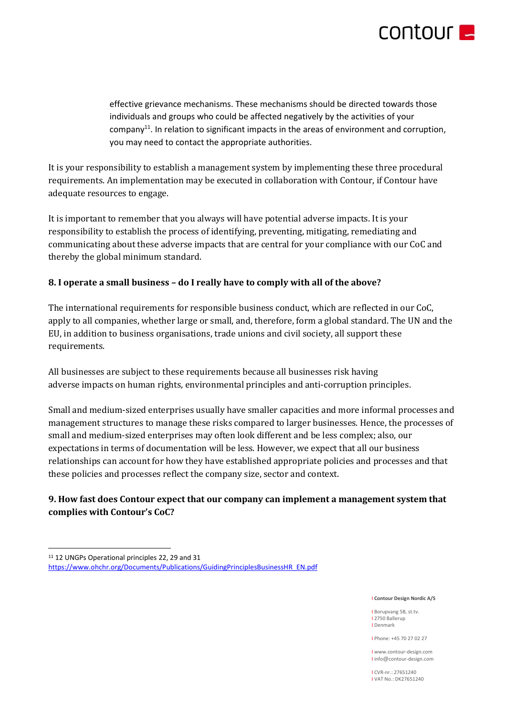

effective grievance mechanisms. These mechanisms should be directed towards those individuals and groups who could be affected negatively by the activities of your company<sup>11</sup>. In relation to significant impacts in the areas of environment and corruption, you may need to contact the appropriate authorities.

It is your responsibility to establish a management system by implementing these three procedural requirements. An implementation may be executed in collaboration with Contour, if Contour have adequate resources to engage.

It is important to remember that you always will have potential adverse impacts. It is your responsibility to establish the process of identifying, preventing, mitigating, remediating and communicating about these adverse impacts that are central for your compliance with our CoC and thereby the global minimum standard.

## **8. I operate a small business – do I really have to comply with all of the above?**

The international requirements for responsible business conduct, which are reflected in our CoC, apply to all companies, whether large or small, and, therefore, form a global standard. The UN and the EU, in addition to business organisations, trade unions and civil society, all support these requirements.

All businesses are subject to these requirements because all businesses risk having adverse impacts on human rights, environmental principles and anti-corruption principles.

Small and medium-sized enterprises usually have smaller capacities and more informal processes and management structures to manage these risks compared to larger businesses. Hence, the processes of small and medium-sized enterprises may often look different and be less complex; also, our expectations in terms of documentation will be less. However, we expect that all our business relationships can account for how they have established appropriate policies and processes and that these policies and processes reflect the company size, sector and context.

# **9. How fast does Contour expect that our company can implement a management system that complies with Contour's CoC?**

#### I **Contour Design Nordic A/S**

I Borupvang 5B, st.tv. I 2750 Ballerup I Denmark

I Phone: +45 70 27 02 27

I www.contour-design.com I info@contour-design.com

<sup>11</sup> 12 UNGPs Operational principles 22, 29 and 31 [https://www.ohchr.org/Documents/Publications/GuidingPrinciplesBusinessHR\\_EN.pdf](https://www.ohchr.org/Documents/Publications/GuidingPrinciplesBusinessHR_EN.pdf)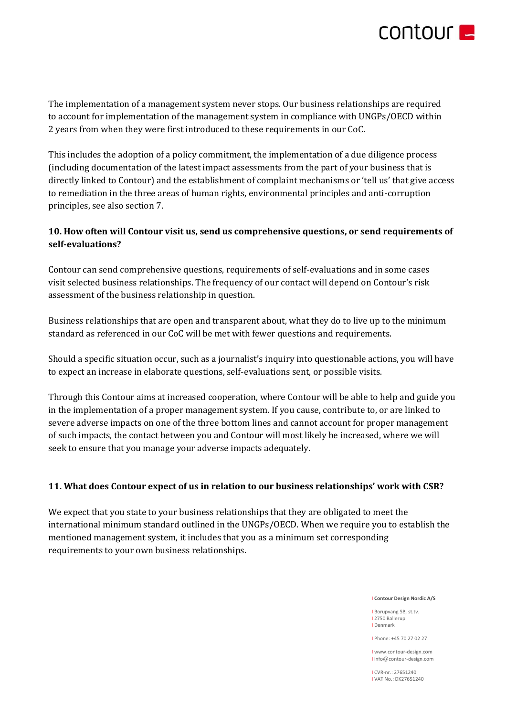

The implementation of a management system never stops. Our business relationships are required to account for implementation of the management system in compliance with UNGPs/OECD within 2 years from when they were first introduced to these requirements in our CoC.

This includes the adoption of a policy commitment, the implementation of a due diligence process (including documentation of the latest impact assessments from the part of your business that is directly linked to Contour) and the establishment of complaint mechanisms or 'tell us' that give access to remediation in the three areas of human rights, environmental principles and anti-corruption principles, see also section 7.

# **10. How often will Contour visit us, send us comprehensive questions, or send requirements of self-evaluations?**

Contour can send comprehensive questions, requirements of self-evaluations and in some cases visit selected business relationships. The frequency of our contact will depend on Contour's risk assessment of the business relationship in question.

Business relationships that are open and transparent about, what they do to live up to the minimum standard as referenced in our CoC will be met with fewer questions and requirements.

Should a specific situation occur, such as a journalist's inquiry into questionable actions, you will have to expect an increase in elaborate questions, self-evaluations sent, or possible visits.

Through this Contour aims at increased cooperation, where Contour will be able to help and guide you in the implementation of a proper management system. If you cause, contribute to, or are linked to severe adverse impacts on one of the three bottom lines and cannot account for proper management of such impacts, the contact between you and Contour will most likely be increased, where we will seek to ensure that you manage your adverse impacts adequately.

## **11. What does Contour expect of us in relation to our business relationships' work with CSR?**

We expect that you state to your business relationships that they are obligated to meet the international minimum standard outlined in the UNGPs/OECD. When we require you to establish the mentioned management system, it includes that you as a minimum set corresponding requirements to your own business relationships.

#### I **Contour Design Nordic A/S**

I Borupvang 5B, st.tv. I 2750 Ballerup I Denmark

I Phone: +45 70 27 02 27

I www.contour-design.com I info@contour-design.com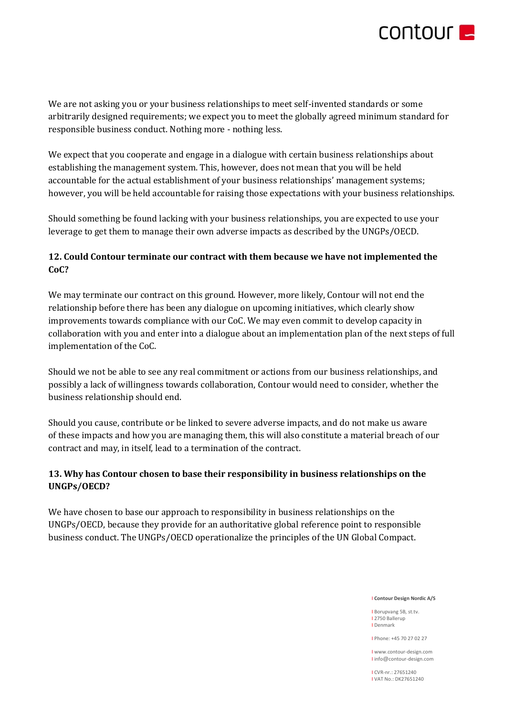

We are not asking you or your business relationships to meet self-invented standards or some arbitrarily designed requirements; we expect you to meet the globally agreed minimum standard for responsible business conduct. Nothing more - nothing less.

We expect that you cooperate and engage in a dialogue with certain business relationships about establishing the management system. This, however, does not mean that you will be held accountable for the actual establishment of your business relationships' management systems; however, you will be held accountable for raising those expectations with your business relationships.

Should something be found lacking with your business relationships, you are expected to use your leverage to get them to manage their own adverse impacts as described by the UNGPs/OECD.

# **12. Could Contour terminate our contract with them because we have not implemented the CoC?**

We may terminate our contract on this ground. However, more likely, Contour will not end the relationship before there has been any dialogue on upcoming initiatives, which clearly show improvements towards compliance with our CoC. We may even commit to develop capacity in collaboration with you and enter into a dialogue about an implementation plan of the next steps of full implementation of the CoC.

Should we not be able to see any real commitment or actions from our business relationships, and possibly a lack of willingness towards collaboration, Contour would need to consider, whether the business relationship should end.

Should you cause, contribute or be linked to severe adverse impacts, and do not make us aware of these impacts and how you are managing them, this will also constitute a material breach of our contract and may, in itself, lead to a termination of the contract.

# **13. Why has Contour chosen to base their responsibility in business relationships on the UNGPs/OECD?**

We have chosen to base our approach to responsibility in business relationships on the UNGPs/OECD, because they provide for an authoritative global reference point to responsible business conduct. The UNGPs/OECD operationalize the principles of the UN Global Compact.

I **Contour Design Nordic A/S**

I Borupvang 5B, st.tv. I 2750 Ballerup I Denmark

I Phone: +45 70 27 02 27

I www.contour-design.com I info@contour-design.com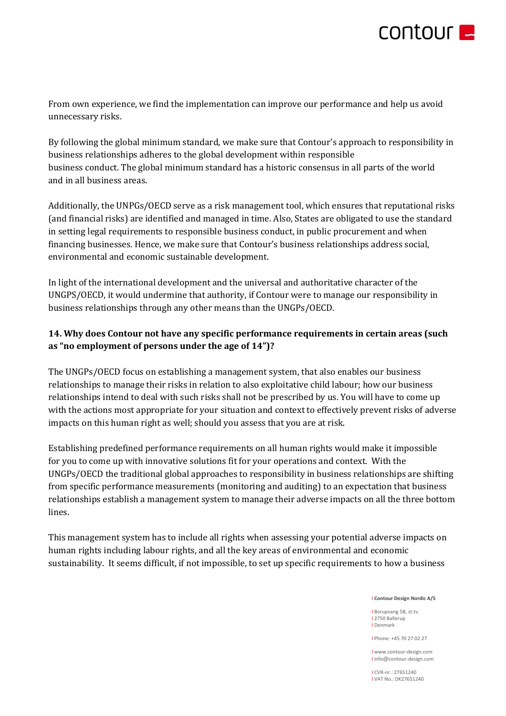

From own experience, we find the implementation can improve our performance and help us avoid unnecessary risks.

By following the global minimum standard, we make sure that Contour's approach to responsibility in business relationships adheres to the global development within responsible business conduct. The global minimum standard has a historic consensus in all parts of the world and in all business areas.

Additionally, the UNPGs/OECD serve as a risk management tool, which ensures that reputational risks (and financial risks) are identified and managed in time. Also, States are obligated to use the standard in setting legal requirements to responsible business conduct, in public procurement and when financing businesses. Hence, we make sure that Contour's business relationships address social, environmental and economic sustainable development.

In light of the international development and the universal and authoritative character of the UNGPS/OECD, it would undermine that authority, if Contour were to manage our responsibility in business relationships through any other means than the UNGPs/OECD.

# **14. Why does Contour not have any specific performance requirements in certain areas (such as "no employment of persons under the age of 14")?**

The UNGPs/OECD focus on establishing a management system, that also enables our business relationships to manage their risks in relation to also exploitative child labour; how our business relationships intend to deal with such risks shall not be prescribed by us. You will have to come up with the actions most appropriate for your situation and context to effectively prevent risks of adverse impacts on this human right as well; should you assess that you are at risk.

Establishing predefined performance requirements on all human rights would make it impossible for you to come up with innovative solutions fit for your operations and context. With the UNGPs/OECD the traditional global approaches to responsibility in business relationships are shifting from specific performance measurements (monitoring and auditing) to an expectation that business relationships establish a management system to manage their adverse impacts on all the three bottom lines.

This management system has to include all rights when assessing your potential adverse impacts on human rights including labour rights, and all the key areas of environmental and economic sustainability. It seems difficult, if not impossible, to set up specific requirements to how a business

I **Contour Design Nordic A/S**

I Borupvang 5B, st.tv. I 2750 Ballerup I Denmark

I Phone: +45 70 27 02 27

I www.contour-design.com I info@contour-design.com